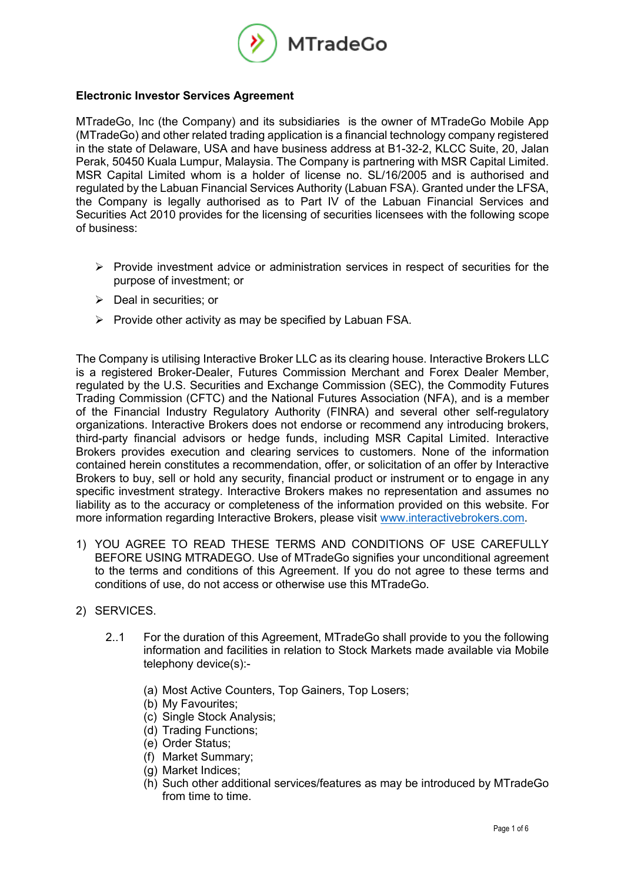

## **Electronic Investor Services Agreement**

MTradeGo, Inc (the Company) and its subsidiaries is the owner of MTradeGo Mobile App (MTradeGo) and other related trading application is a financial technology company registered in the state of Delaware, USA and have business address at B1-32-2, KLCC Suite, 20, Jalan Perak, 50450 Kuala Lumpur, Malaysia. The Company is partnering with MSR Capital Limited. MSR Capital Limited whom is a holder of license no. SL/16/2005 and is authorised and regulated by the Labuan Financial Services Authority (Labuan FSA). Granted under the LFSA, the Company is legally authorised as to Part IV of the Labuan Financial Services and Securities Act 2010 provides for the licensing of securities licensees with the following scope of business:

- $\triangleright$  Provide investment advice or administration services in respect of securities for the purpose of investment; or
- $\triangleright$  Deal in securities; or
- $\triangleright$  Provide other activity as may be specified by Labuan FSA.

The Company is utilising Interactive Broker LLC as its clearing house. Interactive Brokers LLC is a registered Broker-Dealer, Futures Commission Merchant and Forex Dealer Member, regulated by the U.S. Securities and Exchange Commission (SEC), the Commodity Futures Trading Commission (CFTC) and the National Futures Association (NFA), and is a member of the Financial Industry Regulatory Authority (FINRA) and several other self-regulatory organizations. Interactive Brokers does not endorse or recommend any introducing brokers, third-party financial advisors or hedge funds, including MSR Capital Limited. Interactive Brokers provides execution and clearing services to customers. None of the information contained herein constitutes a recommendation, offer, or solicitation of an offer by Interactive Brokers to buy, sell or hold any security, financial product or instrument or to engage in any specific investment strategy. Interactive Brokers makes no representation and assumes no liability as to the accuracy or completeness of the information provided on this website. For more information regarding Interactive Brokers, please visit www.interactivebrokers.com.

- 1) YOU AGREE TO READ THESE TERMS AND CONDITIONS OF USE CAREFULLY BEFORE USING MTRADEGO. Use of MTradeGo signifies your unconditional agreement to the terms and conditions of this Agreement. If you do not agree to these terms and conditions of use, do not access or otherwise use this MTradeGo.
- 2) SERVICES.
	- 2..1 For the duration of this Agreement, MTradeGo shall provide to you the following information and facilities in relation to Stock Markets made available via Mobile telephony device(s):-
		- (a) Most Active Counters, Top Gainers, Top Losers;
		- (b) My Favourites;
		- (c) Single Stock Analysis;
		- (d) Trading Functions;
		- (e) Order Status;
		- (f) Market Summary;
		- (g) Market Indices;
		- (h) Such other additional services/features as may be introduced by MTradeGo from time to time.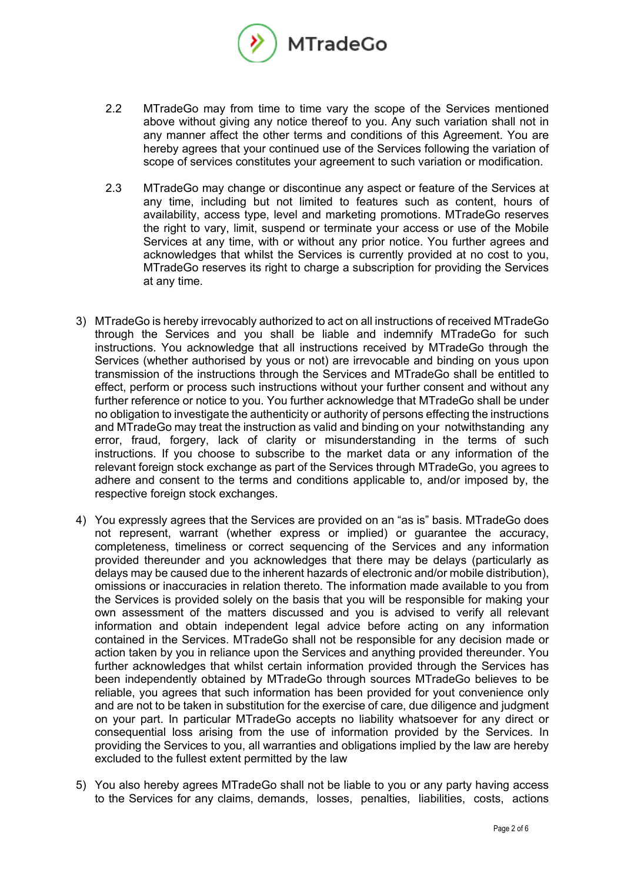

- 2.2 MTradeGo may from time to time vary the scope of the Services mentioned above without giving any notice thereof to you. Any such variation shall not in any manner affect the other terms and conditions of this Agreement. You are hereby agrees that your continued use of the Services following the variation of scope of services constitutes your agreement to such variation or modification.
- 2.3 MTradeGo may change or discontinue any aspect or feature of the Services at any time, including but not limited to features such as content, hours of availability, access type, level and marketing promotions. MTradeGo reserves the right to vary, limit, suspend or terminate your access or use of the Mobile Services at any time, with or without any prior notice. You further agrees and acknowledges that whilst the Services is currently provided at no cost to you, MTradeGo reserves its right to charge a subscription for providing the Services at any time.
- 3) MTradeGo is hereby irrevocably authorized to act on all instructions of received MTradeGo through the Services and you shall be liable and indemnify MTradeGo for such instructions. You acknowledge that all instructions received by MTradeGo through the Services (whether authorised by yous or not) are irrevocable and binding on yous upon transmission of the instructions through the Services and MTradeGo shall be entitled to effect, perform or process such instructions without your further consent and without any further reference or notice to you. You further acknowledge that MTradeGo shall be under no obligation to investigate the authenticity or authority of persons effecting the instructions and MTradeGo may treat the instruction as valid and binding on your notwithstanding any error, fraud, forgery, lack of clarity or misunderstanding in the terms of such instructions. If you choose to subscribe to the market data or any information of the relevant foreign stock exchange as part of the Services through MTradeGo, you agrees to adhere and consent to the terms and conditions applicable to, and/or imposed by, the respective foreign stock exchanges.
- 4) You expressly agrees that the Services are provided on an "as is" basis. MTradeGo does not represent, warrant (whether express or implied) or guarantee the accuracy, completeness, timeliness or correct sequencing of the Services and any information provided thereunder and you acknowledges that there may be delays (particularly as delays may be caused due to the inherent hazards of electronic and/or mobile distribution), omissions or inaccuracies in relation thereto. The information made available to you from the Services is provided solely on the basis that you will be responsible for making your own assessment of the matters discussed and you is advised to verify all relevant information and obtain independent legal advice before acting on any information contained in the Services. MTradeGo shall not be responsible for any decision made or action taken by you in reliance upon the Services and anything provided thereunder. You further acknowledges that whilst certain information provided through the Services has been independently obtained by MTradeGo through sources MTradeGo believes to be reliable, you agrees that such information has been provided for yout convenience only and are not to be taken in substitution for the exercise of care, due diligence and judgment on your part. In particular MTradeGo accepts no liability whatsoever for any direct or consequential loss arising from the use of information provided by the Services. In providing the Services to you, all warranties and obligations implied by the law are hereby excluded to the fullest extent permitted by the law
- 5) You also hereby agrees MTradeGo shall not be liable to you or any party having access to the Services for any claims, demands, losses, penalties, liabilities, costs, actions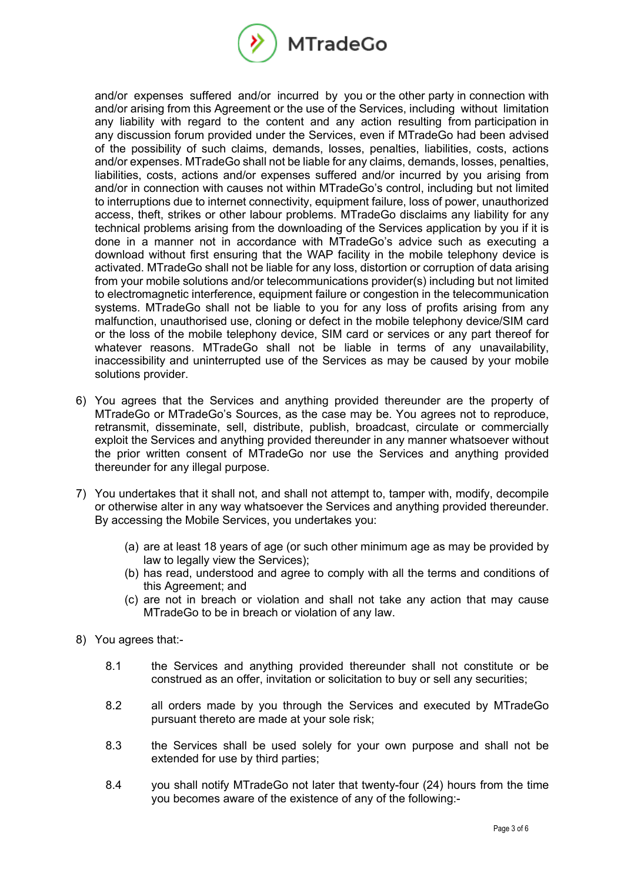

and/or expenses suffered and/or incurred by you or the other party in connection with and/or arising from this Agreement or the use of the Services, including without limitation any liability with regard to the content and any action resulting from participation in any discussion forum provided under the Services, even if MTradeGo had been advised of the possibility of such claims, demands, losses, penalties, liabilities, costs, actions and/or expenses. MTradeGo shall not be liable for any claims, demands, losses, penalties, liabilities, costs, actions and/or expenses suffered and/or incurred by you arising from and/or in connection with causes not within MTradeGo's control, including but not limited to interruptions due to internet connectivity, equipment failure, loss of power, unauthorized access, theft, strikes or other labour problems. MTradeGo disclaims any liability for any technical problems arising from the downloading of the Services application by you if it is done in a manner not in accordance with MTradeGo's advice such as executing a download without first ensuring that the WAP facility in the mobile telephony device is activated. MTradeGo shall not be liable for any loss, distortion or corruption of data arising from your mobile solutions and/or telecommunications provider(s) including but not limited to electromagnetic interference, equipment failure or congestion in the telecommunication systems. MTradeGo shall not be liable to you for any loss of profits arising from any malfunction, unauthorised use, cloning or defect in the mobile telephony device/SIM card or the loss of the mobile telephony device, SIM card or services or any part thereof for whatever reasons. MTradeGo shall not be liable in terms of any unavailability, inaccessibility and uninterrupted use of the Services as may be caused by your mobile solutions provider.

- 6) You agrees that the Services and anything provided thereunder are the property of MTradeGo or MTradeGo's Sources, as the case may be. You agrees not to reproduce, retransmit, disseminate, sell, distribute, publish, broadcast, circulate or commercially exploit the Services and anything provided thereunder in any manner whatsoever without the prior written consent of MTradeGo nor use the Services and anything provided thereunder for any illegal purpose.
- 7) You undertakes that it shall not, and shall not attempt to, tamper with, modify, decompile or otherwise alter in any way whatsoever the Services and anything provided thereunder. By accessing the Mobile Services, you undertakes you:
	- (a) are at least 18 years of age (or such other minimum age as may be provided by law to legally view the Services);
	- (b) has read, understood and agree to comply with all the terms and conditions of this Agreement; and
	- (c) are not in breach or violation and shall not take any action that may cause MTradeGo to be in breach or violation of any law.
- 8) You agrees that:-
	- 8.1 the Services and anything provided thereunder shall not constitute or be construed as an offer, invitation or solicitation to buy or sell any securities;
	- 8.2 all orders made by you through the Services and executed by MTradeGo pursuant thereto are made at your sole risk;
	- 8.3 the Services shall be used solely for your own purpose and shall not be extended for use by third parties;
	- 8.4 you shall notify MTradeGo not later that twenty-four (24) hours from the time you becomes aware of the existence of any of the following:-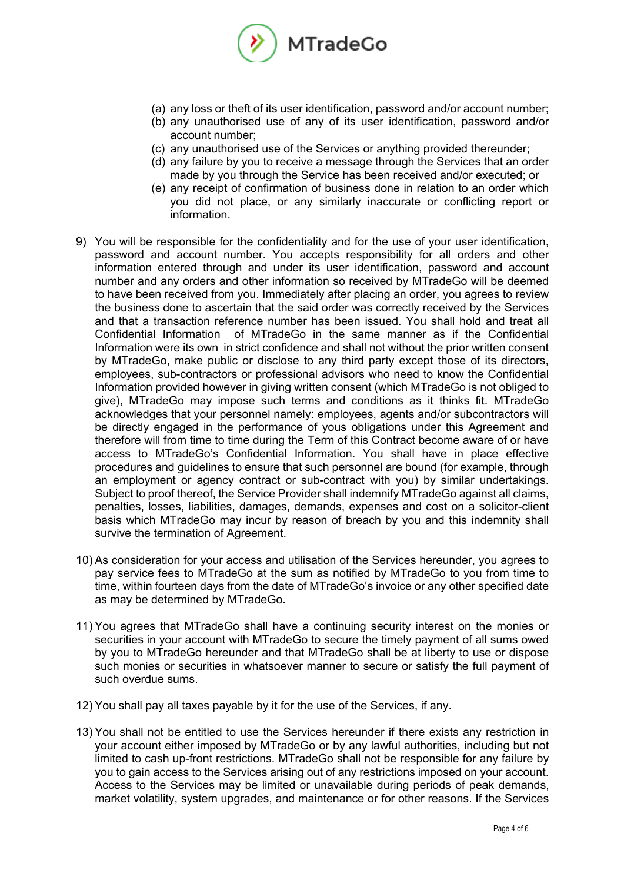

- (a) any loss or theft of its user identification, password and/or account number;
- (b) any unauthorised use of any of its user identification, password and/or account number;
- (c) any unauthorised use of the Services or anything provided thereunder;
- (d) any failure by you to receive a message through the Services that an order made by you through the Service has been received and/or executed; or
- (e) any receipt of confirmation of business done in relation to an order which you did not place, or any similarly inaccurate or conflicting report or information.
- 9) You will be responsible for the confidentiality and for the use of your user identification, password and account number. You accepts responsibility for all orders and other information entered through and under its user identification, password and account number and any orders and other information so received by MTradeGo will be deemed to have been received from you. Immediately after placing an order, you agrees to review the business done to ascertain that the said order was correctly received by the Services and that a transaction reference number has been issued. You shall hold and treat all Confidential Information of MTradeGo in the same manner as if the Confidential Information were its own in strict confidence and shall not without the prior written consent by MTradeGo, make public or disclose to any third party except those of its directors, employees, sub-contractors or professional advisors who need to know the Confidential Information provided however in giving written consent (which MTradeGo is not obliged to give), MTradeGo may impose such terms and conditions as it thinks fit. MTradeGo acknowledges that your personnel namely: employees, agents and/or subcontractors will be directly engaged in the performance of yous obligations under this Agreement and therefore will from time to time during the Term of this Contract become aware of or have access to MTradeGo's Confidential Information. You shall have in place effective procedures and guidelines to ensure that such personnel are bound (for example, through an employment or agency contract or sub-contract with you) by similar undertakings. Subject to proof thereof, the Service Provider shall indemnify MTradeGo against all claims, penalties, losses, liabilities, damages, demands, expenses and cost on a solicitor-client basis which MTradeGo may incur by reason of breach by you and this indemnity shall survive the termination of Agreement.
- 10) As consideration for your access and utilisation of the Services hereunder, you agrees to pay service fees to MTradeGo at the sum as notified by MTradeGo to you from time to time, within fourteen days from the date of MTradeGo's invoice or any other specified date as may be determined by MTradeGo.
- 11) You agrees that MTradeGo shall have a continuing security interest on the monies or securities in your account with MTradeGo to secure the timely payment of all sums owed by you to MTradeGo hereunder and that MTradeGo shall be at liberty to use or dispose such monies or securities in whatsoever manner to secure or satisfy the full payment of such overdue sums.
- 12) You shall pay all taxes payable by it for the use of the Services, if any.
- 13) You shall not be entitled to use the Services hereunder if there exists any restriction in your account either imposed by MTradeGo or by any lawful authorities, including but not limited to cash up-front restrictions. MTradeGo shall not be responsible for any failure by you to gain access to the Services arising out of any restrictions imposed on your account. Access to the Services may be limited or unavailable during periods of peak demands, market volatility, system upgrades, and maintenance or for other reasons. If the Services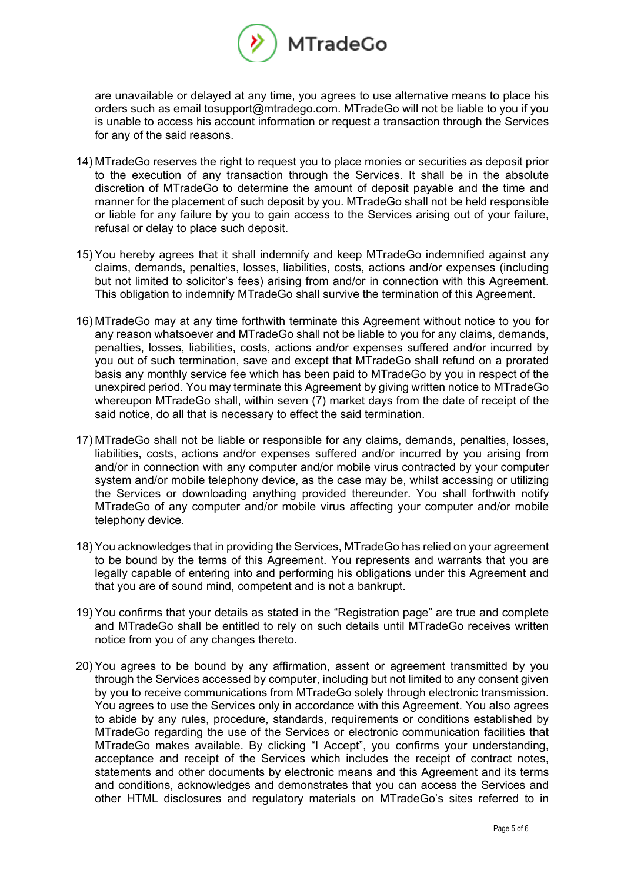

are unavailable or delayed at any time, you agrees to use alternative means to place his orders such as email tosupport@mtradego.com. MTradeGo will not be liable to you if you is unable to access his account information or request a transaction through the Services for any of the said reasons.

- 14) MTradeGo reserves the right to request you to place monies or securities as deposit prior to the execution of any transaction through the Services. It shall be in the absolute discretion of MTradeGo to determine the amount of deposit payable and the time and manner for the placement of such deposit by you. MTradeGo shall not be held responsible or liable for any failure by you to gain access to the Services arising out of your failure, refusal or delay to place such deposit.
- 15) You hereby agrees that it shall indemnify and keep MTradeGo indemnified against any claims, demands, penalties, losses, liabilities, costs, actions and/or expenses (including but not limited to solicitor's fees) arising from and/or in connection with this Agreement. This obligation to indemnify MTradeGo shall survive the termination of this Agreement.
- 16) MTradeGo may at any time forthwith terminate this Agreement without notice to you for any reason whatsoever and MTradeGo shall not be liable to you for any claims, demands, penalties, losses, liabilities, costs, actions and/or expenses suffered and/or incurred by you out of such termination, save and except that MTradeGo shall refund on a prorated basis any monthly service fee which has been paid to MTradeGo by you in respect of the unexpired period. You may terminate this Agreement by giving written notice to MTradeGo whereupon MTradeGo shall, within seven (7) market days from the date of receipt of the said notice, do all that is necessary to effect the said termination.
- 17) MTradeGo shall not be liable or responsible for any claims, demands, penalties, losses, liabilities, costs, actions and/or expenses suffered and/or incurred by you arising from and/or in connection with any computer and/or mobile virus contracted by your computer system and/or mobile telephony device, as the case may be, whilst accessing or utilizing the Services or downloading anything provided thereunder. You shall forthwith notify MTradeGo of any computer and/or mobile virus affecting your computer and/or mobile telephony device.
- 18) You acknowledges that in providing the Services, MTradeGo has relied on your agreement to be bound by the terms of this Agreement. You represents and warrants that you are legally capable of entering into and performing his obligations under this Agreement and that you are of sound mind, competent and is not a bankrupt.
- 19) You confirms that your details as stated in the "Registration page" are true and complete and MTradeGo shall be entitled to rely on such details until MTradeGo receives written notice from you of any changes thereto.
- 20) You agrees to be bound by any affirmation, assent or agreement transmitted by you through the Services accessed by computer, including but not limited to any consent given by you to receive communications from MTradeGo solely through electronic transmission. You agrees to use the Services only in accordance with this Agreement. You also agrees to abide by any rules, procedure, standards, requirements or conditions established by MTradeGo regarding the use of the Services or electronic communication facilities that MTradeGo makes available. By clicking "I Accept", you confirms your understanding, acceptance and receipt of the Services which includes the receipt of contract notes, statements and other documents by electronic means and this Agreement and its terms and conditions, acknowledges and demonstrates that you can access the Services and other HTML disclosures and regulatory materials on MTradeGo's sites referred to in